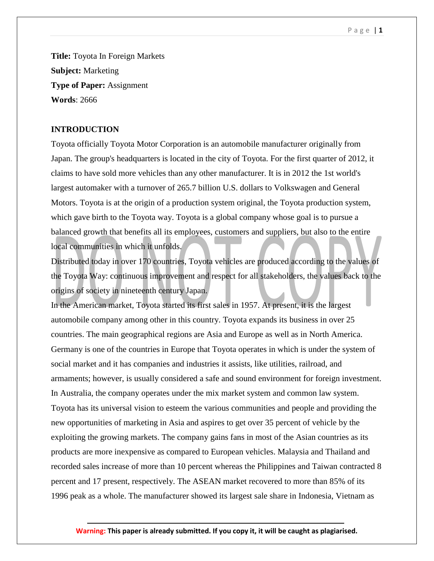### P a g e | **1**

**Title:** Toyota In Foreign Markets **Subject:** Marketing **Type of Paper:** Assignment **Words**: 2666

## **INTRODUCTION**

Toyota officially Toyota Motor Corporation is an automobile manufacturer originally from Japan. The group's headquarters is located in the city of Toyota. For the first quarter of 2012, it claims to have sold more vehicles than any other manufacturer. It is in 2012 the 1st world's largest automaker with a turnover of 265.7 billion U.S. dollars to Volkswagen and General Motors. Toyota is at the origin of a production system original, the Toyota production system, which gave birth to the Toyota way. Toyota is a global company whose goal is to pursue a balanced growth that benefits all its employees, customers and suppliers, but also to the entire local communities in which it unfolds.

Distributed today in over 170 countries, Toyota vehicles are produced according to the values of the Toyota Way: continuous improvement and respect for all stakeholders, the values back to the origins of society in nineteenth century Japan.

In the American market, Toyota started its first sales in 1957. At present, it is the largest automobile company among other in this country. Toyota expands its business in over 25 countries. The main geographical regions are Asia and Europe as well as in North America. Germany is one of the countries in Europe that Toyota operates in which is under the system of social market and it has companies and industries it assists, like utilities, railroad, and armaments; however, is usually considered a safe and sound environment for foreign investment. In Australia, the company operates under the mix market system and common law system. Toyota has its universal vision to esteem the various communities and people and providing the new opportunities of marketing in Asia and aspires to get over 35 percent of vehicle by the exploiting the growing markets. The company gains fans in most of the Asian countries as its products are more inexpensive as compared to European vehicles. Malaysia and Thailand and recorded sales increase of more than 10 percent whereas the Philippines and Taiwan contracted 8 percent and 17 present, respectively. The ASEAN market recovered to more than 85% of its 1996 peak as a whole. The manufacturer showed its largest sale share in Indonesia, Vietnam as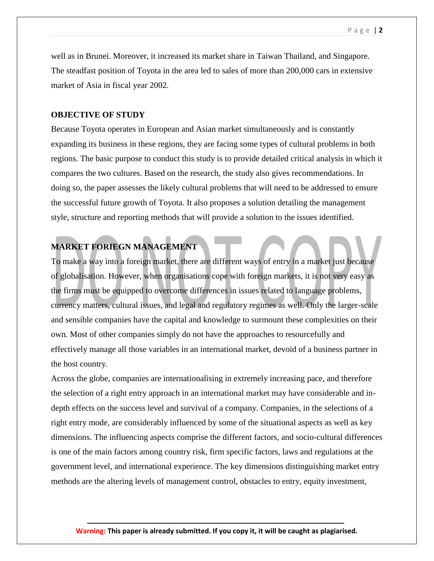well as in Brunei. Moreover, it increased its market share in Taiwan Thailand, and Singapore. The steadfast position of Toyota in the area led to sales of more than 200,000 cars in extensive market of Asia in fiscal year 2002.

## **OBJECTIVE OF STUDY**

Because Toyota operates in European and Asian market simultaneously and is constantly expanding its business in these regions, they are facing some types of cultural problems in both regions. The basic purpose to conduct this study is to provide detailed critical analysis in which it compares the two cultures. Based on the research, the study also gives recommendations. In doing so, the paper assesses the likely cultural problems that will need to be addressed to ensure the successful future growth of Toyota. It also proposes a solution detailing the management style, structure and reporting methods that will provide a solution to the issues identified.

# **MARKET FORIEGN MANAGEMENT**

To make a way into a foreign market, there are different ways of entry in a market just because of globalisation. However, when organisations cope with foreign markets, it is not very easy as the firms must be equipped to overcome differences in issues related to language problems, currency matters, cultural issues, and legal and regulatory regimes as well. Only the larger-scale and sensible companies have the capital and knowledge to surmount these complexities on their own. Most of other companies simply do not have the approaches to resourcefully and effectively manage all those variables in an international market, devoid of a business partner in the host country.

Across the globe, companies are internationalising in extremely increasing pace, and therefore the selection of a right entry approach in an international market may have considerable and indepth effects on the success level and survival of a company. Companies, in the selections of a right entry mode, are considerably influenced by some of the situational aspects as well as key dimensions. The influencing aspects comprise the different factors, and socio-cultural differences is one of the main factors among country risk, firm specific factors, laws and regulations at the government level, and international experience. The key dimensions distinguishing market entry methods are the altering levels of management control, obstacles to entry, equity investment,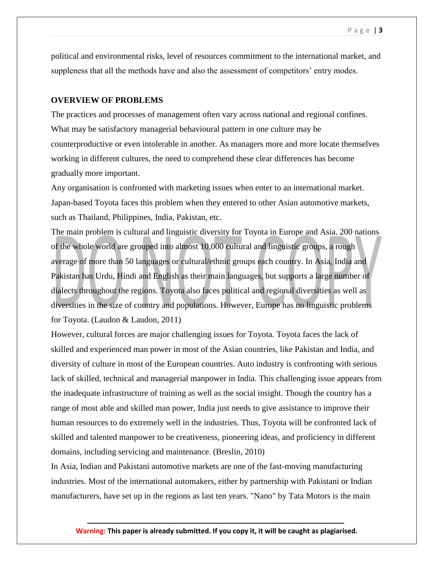political and environmental risks, level of resources commitment to the international market, and suppleness that all the methods have and also the assessment of competitors' entry modes.

### **OVERVIEW OF PROBLEMS**

The practices and processes of management often vary across national and regional confines. What may be satisfactory managerial behavioural pattern in one culture may be counterproductive or even intolerable in another. As managers more and more locate themselves working in different cultures, the need to comprehend these clear differences has become gradually more important.

Any organisation is confronted with marketing issues when enter to an international market. Japan-based Toyota faces this problem when they entered to other Asian automotive markets, such as Thailand, Philippines, India, Pakistan, etc.

The main problem is cultural and linguistic diversity for Toyota in Europe and Asia. 200 nations of the whole world are grouped into almost 10,000 cultural and linguistic groups, a rough average of more than 50 languages or cultural/ethnic groups each country. In Asia, India and Pakistan has Urdu, Hindi and English as their main languages, but supports a large number of dialects throughout the regions. Toyota also faces political and regional diversities as well as diversities in the size of country and populations. However, Europe has no linguistic problems for Toyota. (Laudon & Laudon, 2011)

However, cultural forces are major challenging issues for Toyota. Toyota faces the lack of skilled and experienced man power in most of the Asian countries, like Pakistan and India, and diversity of culture in most of the European countries. Auto industry is confronting with serious lack of skilled, technical and managerial manpower in India. This challenging issue appears from the inadequate infrastructure of training as well as the social insight. Though the country has a range of most able and skilled man power, India just needs to give assistance to improve their human resources to do extremely well in the industries. Thus, Toyota will be confronted lack of skilled and talented manpower to be creativeness, pioneering ideas, and proficiency in different domains, including servicing and maintenance. (Breslin, 2010)

In Asia, Indian and Pakistani automotive markets are one of the fast-moving manufacturing industries. Most of the international automakers, either by partnership with Pakistani or Indian manufacturers, have set up in the regions as last ten years. "Nano" by Tata Motors is the main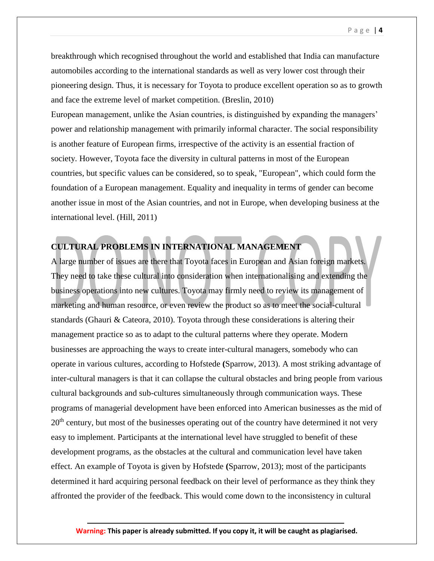breakthrough which recognised throughout the world and established that India can manufacture automobiles according to the international standards as well as very lower cost through their pioneering design. Thus, it is necessary for Toyota to produce excellent operation so as to growth and face the extreme level of market competition. (Breslin, 2010)

European management, unlike the Asian countries, is distinguished by expanding the managers' power and relationship management with primarily informal character. The social responsibility is another feature of European firms, irrespective of the activity is an essential fraction of society. However, Toyota face the diversity in cultural patterns in most of the European countries, but specific values can be considered, so to speak, "European", which could form the foundation of a European management. Equality and inequality in terms of gender can become another issue in most of the Asian countries, and not in Europe, when developing business at the international level. (Hill, 2011)

# **CULTURAL PROBLEMS IN INTERNATIONAL MANAGEMENT**

A large number of issues are there that Toyota faces in European and Asian foreign markets. They need to take these cultural into consideration when internationalising and extending the business operations into new cultures. Toyota may firmly need to review its management of marketing and human resource, or even review the product so as to meet the social-cultural standards (Ghauri & Cateora, 2010). Toyota through these considerations is altering their management practice so as to adapt to the cultural patterns where they operate. Modern businesses are approaching the ways to create inter-cultural managers, somebody who can operate in various cultures, according to Hofstede **(**Sparrow, 2013). A most striking advantage of inter-cultural managers is that it can collapse the cultural obstacles and bring people from various cultural backgrounds and sub-cultures simultaneously through communication ways. These programs of managerial development have been enforced into American businesses as the mid of 20<sup>th</sup> century, but most of the businesses operating out of the country have determined it not very easy to implement. Participants at the international level have struggled to benefit of these development programs, as the obstacles at the cultural and communication level have taken effect. An example of Toyota is given by Hofstede **(**Sparrow, 2013); most of the participants determined it hard acquiring personal feedback on their level of performance as they think they affronted the provider of the feedback. This would come down to the inconsistency in cultural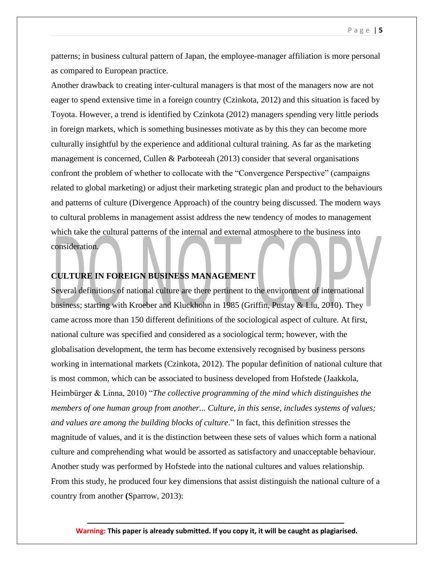patterns; in business cultural pattern of Japan, the employee-manager affiliation is more personal as compared to European practice.

Another drawback to creating inter-cultural managers is that most of the managers now are not eager to spend extensive time in a foreign country (Czinkota, 2012) and this situation is faced by Toyota. However, a trend is identified by Czinkota (2012) managers spending very little periods in foreign markets, which is something businesses motivate as by this they can become more culturally insightful by the experience and additional cultural training. As far as the marketing management is concerned, Cullen & Parboteeah (2013) consider that several organisations confront the problem of whether to collocate with the "Convergence Perspective" (campaigns related to global marketing) or adjust their marketing strategic plan and product to the behaviours and patterns of culture (Divergence Approach) of the country being discussed. The modern ways to cultural problems in management assist address the new tendency of modes to management which take the cultural patterns of the internal and external atmosphere to the business into consideration.

# **CULTURE IN FOREIGN BUSINESS MANAGEMENT**

Several definitions of national culture are there pertinent to the environment of international business; starting with Kroeber and Kluckhohn in 1985 (Griffin, Pustay & Liu, 2010). They came across more than 150 different definitions of the sociological aspect of culture. At first, national culture was specified and considered as a sociological term; however, with the globalisation development, the term has become extensively recognised by business persons working in international markets (Czinkota, 2012). The popular definition of national culture that is most common, which can be associated to business developed from Hofstede (Jaakkola, Heimbürger & Linna, 2010) "*The collective programming of the mind which distinguishes the members of one human group from another... Culture, in this sense, includes systems of values; and values are among the building blocks of culture*." In fact, this definition stresses the magnitude of values, and it is the distinction between these sets of values which form a national culture and comprehending what would be assorted as satisfactory and unacceptable behaviour. Another study was performed by Hofstede into the national cultures and values relationship. From this study, he produced four key dimensions that assist distinguish the national culture of a country from another **(**Sparrow, 2013):

### P a g e | **5**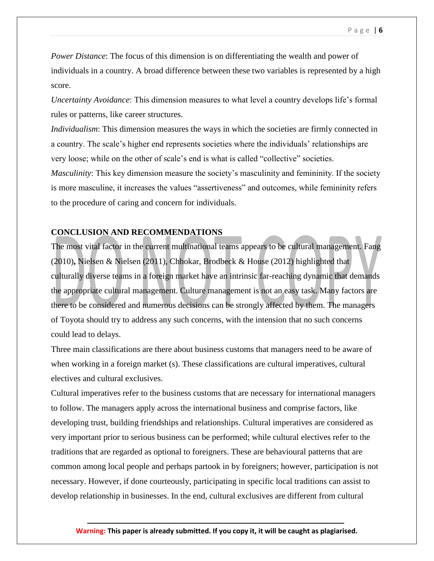*Power Distance*: The focus of this dimension is on differentiating the wealth and power of individuals in a country. A broad difference between these two variables is represented by a high score.

*Uncertainty Avoidance*: This dimension measures to what level a country develops life's formal rules or patterns, like career structures.

*Individualism*: This dimension measures the ways in which the societies are firmly connected in a country. The scale's higher end represents societies where the individuals' relationships are very loose; while on the other of scale's end is what is called "collective" societies.

*Masculinity*: This key dimension measure the society's masculinity and femininity. If the society is more masculine, it increases the values "assertiveness" and outcomes, while femininity refers to the procedure of caring and concern for individuals.

# **CONCLUSION AND RECOMMENDATIONS**

The most vital factor in the current multinational teams appears to be cultural management. Fang (2010)**,** Nielsen & Nielsen (2011), Chhokar, Brodbeck & House (2012) highlighted that culturally diverse teams in a foreign market have an intrinsic far-reaching dynamic that demands the appropriate cultural management. Culture management is not an easy task. Many factors are there to be considered and numerous decisions can be strongly affected by them. The managers of Toyota should try to address any such concerns, with the intension that no such concerns could lead to delays.

Three main classifications are there about business customs that managers need to be aware of when working in a foreign market (s). These classifications are cultural imperatives, cultural electives and cultural exclusives.

Cultural imperatives refer to the business customs that are necessary for international managers to follow. The managers apply across the international business and comprise factors, like developing trust, building friendships and relationships. Cultural imperatives are considered as very important prior to serious business can be performed; while cultural electives refer to the traditions that are regarded as optional to foreigners. These are behavioural patterns that are common among local people and perhaps partook in by foreigners; however, participation is not necessary. However, if done courteously, participating in specific local traditions can assist to develop relationship in businesses. In the end, cultural exclusives are different from cultural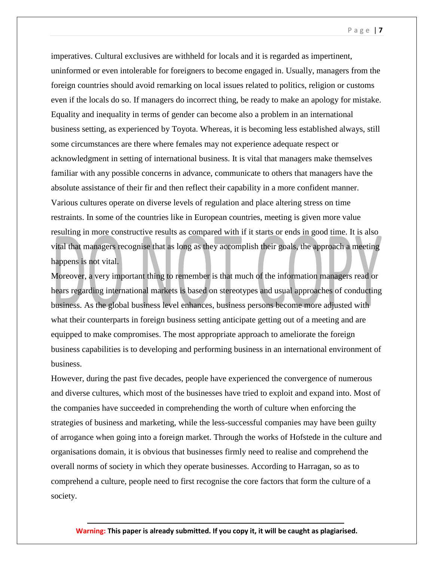P a g e | **7**

imperatives. Cultural exclusives are withheld for locals and it is regarded as impertinent, uninformed or even intolerable for foreigners to become engaged in. Usually, managers from the foreign countries should avoid remarking on local issues related to politics, religion or customs even if the locals do so. If managers do incorrect thing, be ready to make an apology for mistake. Equality and inequality in terms of gender can become also a problem in an international business setting, as experienced by Toyota. Whereas, it is becoming less established always, still some circumstances are there where females may not experience adequate respect or acknowledgment in setting of international business. It is vital that managers make themselves familiar with any possible concerns in advance, communicate to others that managers have the absolute assistance of their fir and then reflect their capability in a more confident manner. Various cultures operate on diverse levels of regulation and place altering stress on time restraints. In some of the countries like in European countries, meeting is given more value resulting in more constructive results as compared with if it starts or ends in good time. It is also vital that managers recognise that as long as they accomplish their goals, the approach a meeting happens is not vital.

Moreover, a very important thing to remember is that much of the information managers read or hears regarding international markets is based on stereotypes and usual approaches of conducting business. As the global business level enhances, business persons become more adjusted with what their counterparts in foreign business setting anticipate getting out of a meeting and are equipped to make compromises. The most appropriate approach to ameliorate the foreign business capabilities is to developing and performing business in an international environment of business.

However, during the past five decades, people have experienced the convergence of numerous and diverse cultures, which most of the businesses have tried to exploit and expand into. Most of the companies have succeeded in comprehending the worth of culture when enforcing the strategies of business and marketing, while the less-successful companies may have been guilty of arrogance when going into a foreign market. Through the works of Hofstede in the culture and organisations domain, it is obvious that businesses firmly need to realise and comprehend the overall norms of society in which they operate businesses. According to Harragan, so as to comprehend a culture, people need to first recognise the core factors that form the culture of a society.